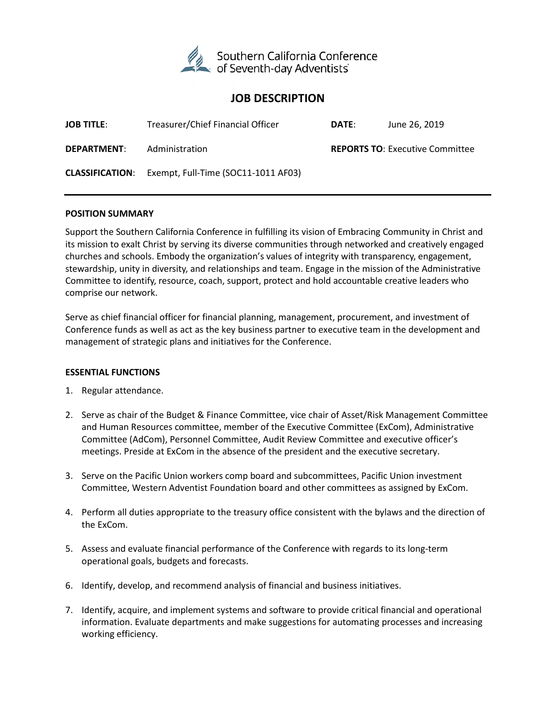

# **JOB DESCRIPTION**

| <b>JOB TITLE:</b>  | Treasurer/Chief Financial Officer                          | DATE: | June 26, 2019                          |
|--------------------|------------------------------------------------------------|-------|----------------------------------------|
| <b>DEPARTMENT:</b> | Administration                                             |       | <b>REPORTS TO: Executive Committee</b> |
|                    | <b>CLASSIFICATION:</b> Exempt, Full-Time (SOC11-1011 AF03) |       |                                        |

### **POSITION SUMMARY**

Support the Southern California Conference in fulfilling its vision of Embracing Community in Christ and its mission to exalt Christ by serving its diverse communities through networked and creatively engaged churches and schools. Embody the organization's values of integrity with transparency, engagement, stewardship, unity in diversity, and relationships and team. Engage in the mission of the Administrative Committee to identify, resource, coach, support, protect and hold accountable creative leaders who comprise our network.

Serve as chief financial officer for financial planning, management, procurement, and investment of Conference funds as well as act as the key business partner to executive team in the development and management of strategic plans and initiatives for the Conference.

#### **ESSENTIAL FUNCTIONS**

- 1. Regular attendance.
- 2. Serve as chair of the Budget & Finance Committee, vice chair of Asset/Risk Management Committee and Human Resources committee, member of the Executive Committee (ExCom), Administrative Committee (AdCom), Personnel Committee, Audit Review Committee and executive officer's meetings. Preside at ExCom in the absence of the president and the executive secretary.
- 3. Serve on the Pacific Union workers comp board and subcommittees, Pacific Union investment Committee, Western Adventist Foundation board and other committees as assigned by ExCom.
- 4. Perform all duties appropriate to the treasury office consistent with the bylaws and the direction of the ExCom.
- 5. Assess and evaluate financial performance of the Conference with regards to its long-term operational goals, budgets and forecasts.
- 6. Identify, develop, and recommend analysis of financial and business initiatives.
- 7. Identify, acquire, and implement systems and software to provide critical financial and operational information. Evaluate departments and make suggestions for automating processes and increasing working efficiency.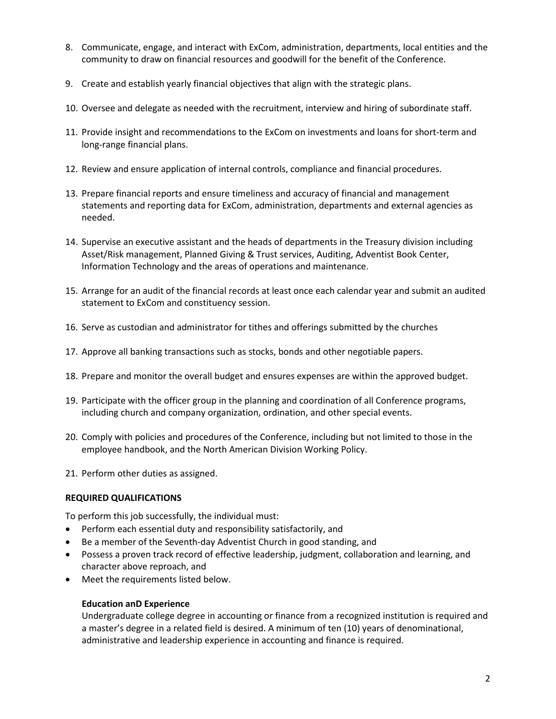- 8. Communicate, engage, and interact with ExCom, administration, departments, local entities and the community to draw on financial resources and goodwill for the benefit of the Conference.
- 9. Create and establish yearly financial objectives that align with the strategic plans.
- 10. Oversee and delegate as needed with the recruitment, interview and hiring of subordinate staff.
- 11. Provide insight and recommendations to the ExCom on investments and loans for short-term and long-range financial plans.
- 12. Review and ensure application of internal controls, compliance and financial procedures.
- 13. Prepare financial reports and ensure timeliness and accuracy of financial and management statements and reporting data for ExCom, administration, departments and external agencies as needed.
- 14. Supervise an executive assistant and the heads of departments in the Treasury division including Asset/Risk management, Planned Giving & Trust services, Auditing, Adventist Book Center, Information Technology and the areas of operations and maintenance.
- 15. Arrange for an audit of the financial records at least once each calendar year and submit an audited statement to ExCom and constituency session.
- 16. Serve as custodian and administrator for tithes and offerings submitted by the churches
- 17. Approve all banking transactions such as stocks, bonds and other negotiable papers.
- 18. Prepare and monitor the overall budget and ensures expenses are within the approved budget.
- 19. Participate with the officer group in the planning and coordination of all Conference programs, including church and company organization, ordination, and other special events.
- 20. Comply with policies and procedures of the Conference, including but not limited to those in the employee handbook, and the North American Division Working Policy.
- 21. Perform other duties as assigned.

# **REQUIRED QUALIFICATIONS**

To perform this job successfully, the individual must:

- Perform each essential duty and responsibility satisfactorily, and
- Be a member of the Seventh-day Adventist Church in good standing, and
- Possess a proven track record of effective leadership, judgment, collaboration and learning, and character above reproach, and
- Meet the requirements listed below.

# **Education anD Experience**

Undergraduate college degree in accounting or finance from a recognized institution is required and a master's degree in a related field is desired. A minimum of ten (10) years of denominational, administrative and leadership experience in accounting and finance is required.